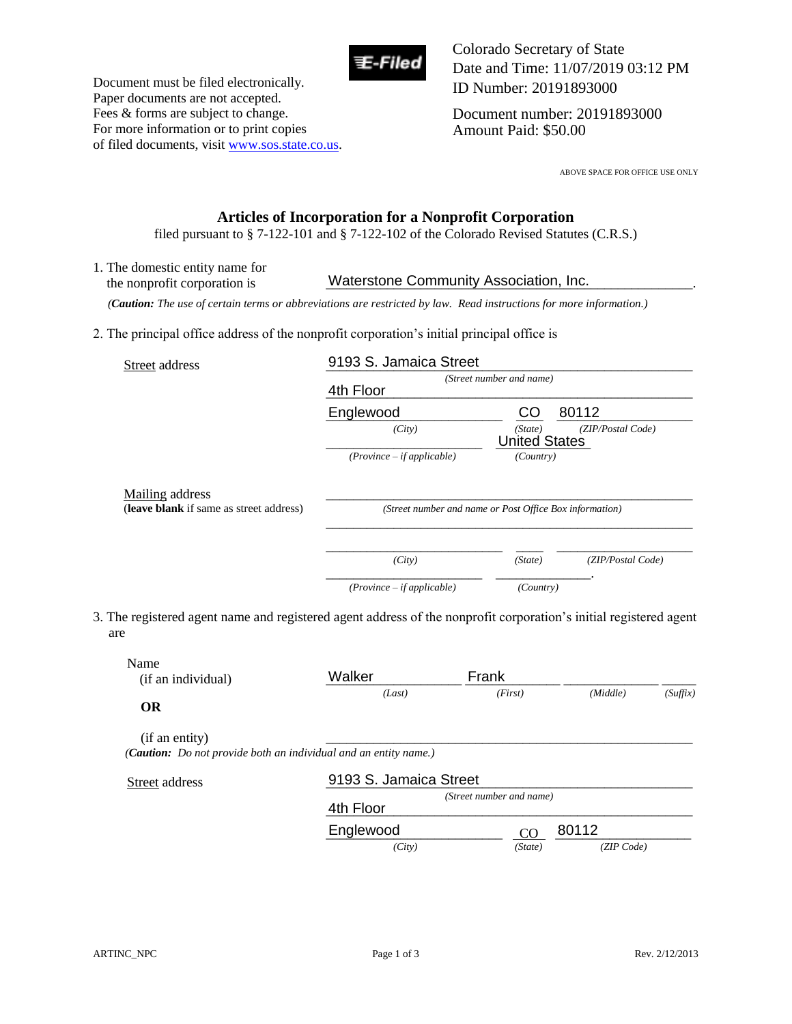

Document must be filed electronically. Paper documents are not accepted. Fees & forms are subject to change. For more information or to print copies of filed documents, visit www.sos.state.co.us. Colorado Secretary of State Date and Time: 11/07/2019 03:12 PM ID Number: 20191893000

Document number: 20191893000 Amount Paid: \$50.00

ABOVE SPACE FOR OFFICE USE ONLY

### **Articles of Incorporation for a Nonprofit Corporation**

filed pursuant to § 7-122-101 and § 7-122-102 of the Colorado Revised Statutes (C.R.S.)

1. The domestic entity name for the nonprofit corporation is **Waterstone Community Association, Inc.** 

 *(Caution: The use of certain terms or abbreviations are restricted by law. Read instructions for more information.)*

2. The principal office address of the nonprofit corporation's initial principal office is

| Street address                          | 9193 S. Jamaica Street                                  |                                 |                   |
|-----------------------------------------|---------------------------------------------------------|---------------------------------|-------------------|
|                                         | (Street number and name)<br>4th Floor                   |                                 |                   |
|                                         | Englewood                                               | CO                              | 80112             |
|                                         | (City)                                                  | (State)<br><b>United States</b> | (ZIP/Postal Code) |
|                                         | $(Province - if applicable)$                            | (Country)                       |                   |
| Mailing address                         |                                                         |                                 |                   |
| (leave blank if same as street address) | (Street number and name or Post Office Box information) |                                 |                   |
|                                         |                                                         |                                 |                   |
|                                         | (City)                                                  | (State)                         | (ZIP/Postal Code) |
|                                         | $(Province - if applicable)$                            | (Country)                       |                   |

3. The registered agent name and registered agent address of the nonprofit corporation's initial registered agent are

| Name<br>(if an individual)       | Walker                                                                                     | Frank                    |          |          |
|----------------------------------|--------------------------------------------------------------------------------------------|--------------------------|----------|----------|
| <b>OR</b>                        | (Last)                                                                                     | (First)                  | (Middle) | (Suffix) |
| (if an entity)<br>Street address | (Caution: Do not provide both an individual and an entity name.)<br>9193 S. Jamaica Street |                          |          |          |
|                                  | 4th Floor                                                                                  | (Street number and name) |          |          |
|                                  |                                                                                            |                          | 80112    |          |
|                                  | Englewood                                                                                  | <sub>CO</sub>            |          |          |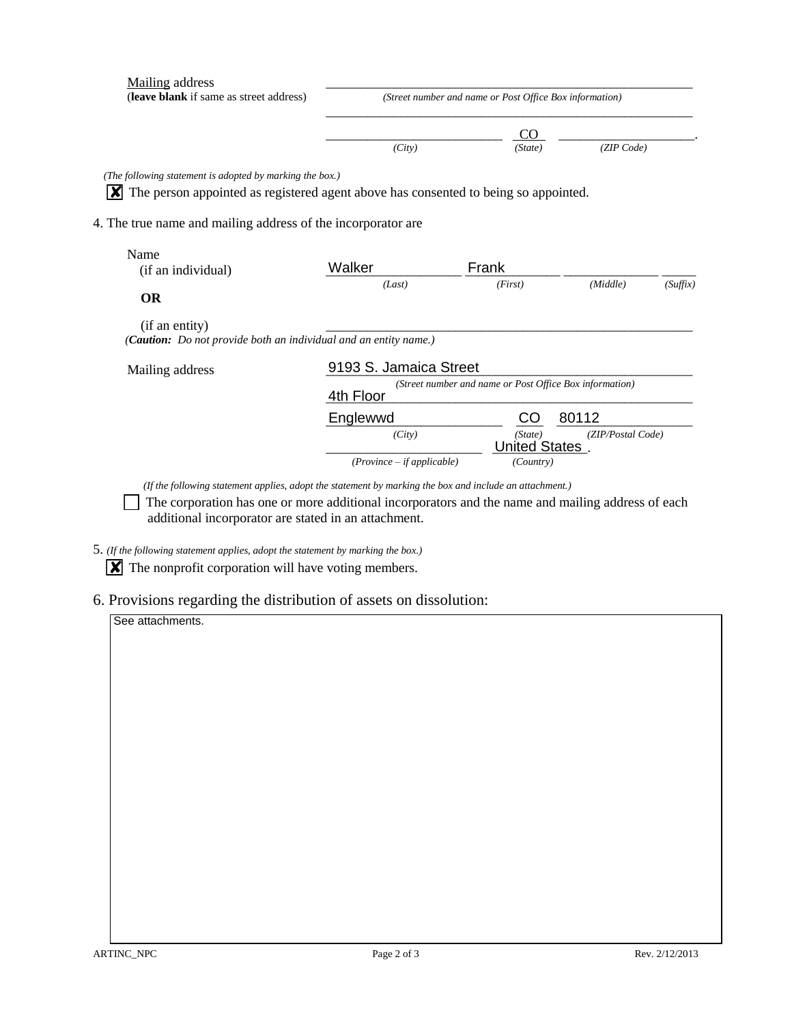| Mailing address<br>(leave blank if same as street address)                                                                                                                                                             | (Street number and name or Post Office Box information)              |                      |                   |          |
|------------------------------------------------------------------------------------------------------------------------------------------------------------------------------------------------------------------------|----------------------------------------------------------------------|----------------------|-------------------|----------|
|                                                                                                                                                                                                                        |                                                                      | CO.                  |                   |          |
|                                                                                                                                                                                                                        | (City)                                                               | (State)              | (ZIP Code)        |          |
| (The following statement is adopted by marking the box.)<br>The person appointed as registered agent above has consented to being so appointed.<br>ΙXΙ<br>4. The true name and mailing address of the incorporator are |                                                                      |                      |                   |          |
| Name<br>(if an individual)                                                                                                                                                                                             | Walker                                                               | Frank                |                   |          |
| <b>OR</b>                                                                                                                                                                                                              | (Last)                                                               | (First)              | (Middle)          | (Suffix) |
| (if an entity)<br>( <b>Caution:</b> Do not provide both an individual and an entity name.)                                                                                                                             |                                                                      |                      |                   |          |
| Mailing address                                                                                                                                                                                                        | 9193 S. Jamaica Street                                               |                      |                   |          |
|                                                                                                                                                                                                                        | (Street number and name or Post Office Box information)<br>4th Floor |                      |                   |          |
|                                                                                                                                                                                                                        | Englewwd                                                             | CO                   | 80112             |          |
|                                                                                                                                                                                                                        | (City)                                                               | (State)              | (ZIP/Postal Code) |          |
|                                                                                                                                                                                                                        |                                                                      | <b>United States</b> |                   |          |

*(If the following statement applies, adopt the statement by marking the box and include an attachment.)* 

 The corporation has one or more additional incorporators and the name and mailing address of each additional incorporator are stated in an attachment.

5. *(If the following statement applies, adopt the statement by marking the box.)* 

 $\boxed{\mathbf{X}}$  The nonprofit corporation will have voting members.

6. Provisions regarding the distribution of assets on dissolution:

See attachments.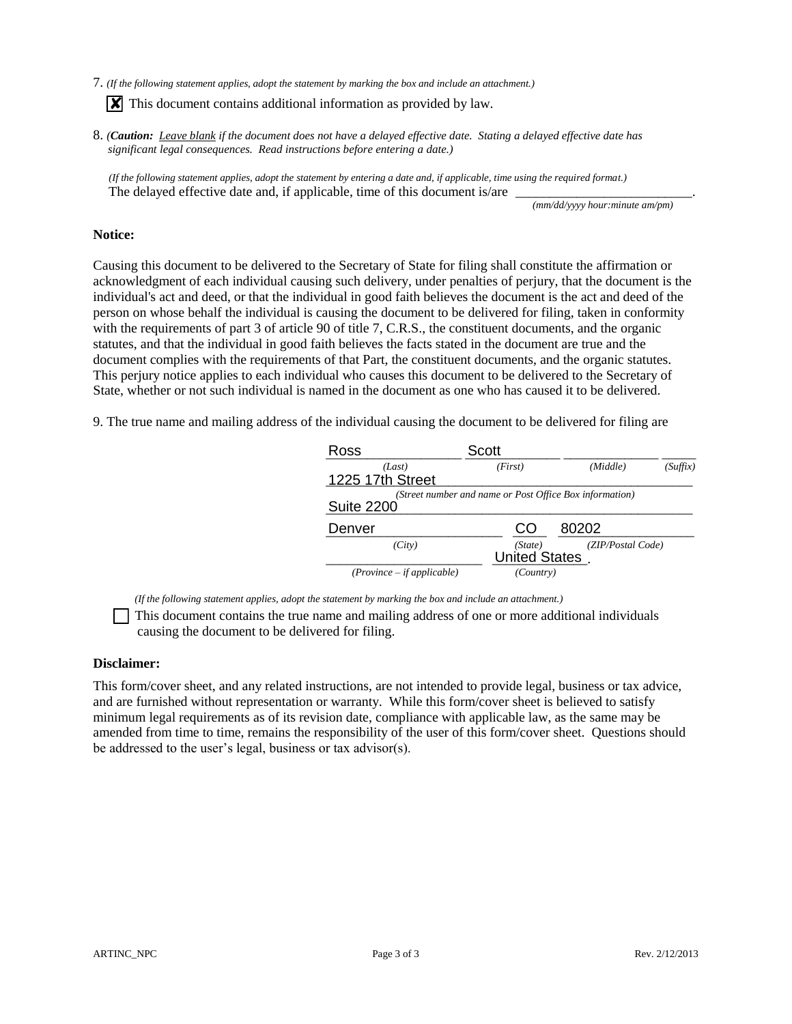7. *(If the following statement applies, adopt the statement by marking the box and include an attachment.)* 

**X** This document contains additional information as provided by law.

8. *(Caution: Leave blank if the document does not have a delayed effective date. Stating a delayed effective date has significant legal consequences. Read instructions before entering a date.)*

 *(If the following statement applies, adopt the statement by entering a date and, if applicable, time using the required format.)* The delayed effective date and, if applicable, time of this document is/are

*(mm/dd/yyyy hour:minute am/pm)*

#### **Notice:**

Causing this document to be delivered to the Secretary of State for filing shall constitute the affirmation or acknowledgment of each individual causing such delivery, under penalties of perjury, that the document is the individual's act and deed, or that the individual in good faith believes the document is the act and deed of the person on whose behalf the individual is causing the document to be delivered for filing, taken in conformity with the requirements of part 3 of article 90 of title 7, C.R.S., the constituent documents, and the organic statutes, and that the individual in good faith believes the facts stated in the document are true and the document complies with the requirements of that Part, the constituent documents, and the organic statutes. This perjury notice applies to each individual who causes this document to be delivered to the Secretary of State, whether or not such individual is named in the document as one who has caused it to be delivered.

9. The true name and mailing address of the individual causing the document to be delivered for filing are

| Ross                         | <b>Scott</b>                                            |                   |          |
|------------------------------|---------------------------------------------------------|-------------------|----------|
| (Last)                       | (First)                                                 | (Middle)          | (Suffix) |
| 1225 17th Street             |                                                         |                   |          |
|                              | (Street number and name or Post Office Box information) |                   |          |
| <b>Suite 2200</b>            |                                                         |                   |          |
| Denver                       | CO                                                      | 80202             |          |
| (City)                       | (State)                                                 | (ZIP/Postal Code) |          |
|                              | <b>United States</b>                                    |                   |          |
| $(Province - if applicable)$ | (Country)                                               |                   |          |

 *(If the following statement applies, adopt the statement by marking the box and include an attachment.)* 

 This document contains the true name and mailing address of one or more additional individuals causing the document to be delivered for filing.

#### **Disclaimer:**

This form/cover sheet, and any related instructions, are not intended to provide legal, business or tax advice, and are furnished without representation or warranty. While this form/cover sheet is believed to satisfy minimum legal requirements as of its revision date, compliance with applicable law, as the same may be amended from time to time, remains the responsibility of the user of this form/cover sheet. Questions should be addressed to the user's legal, business or tax advisor(s).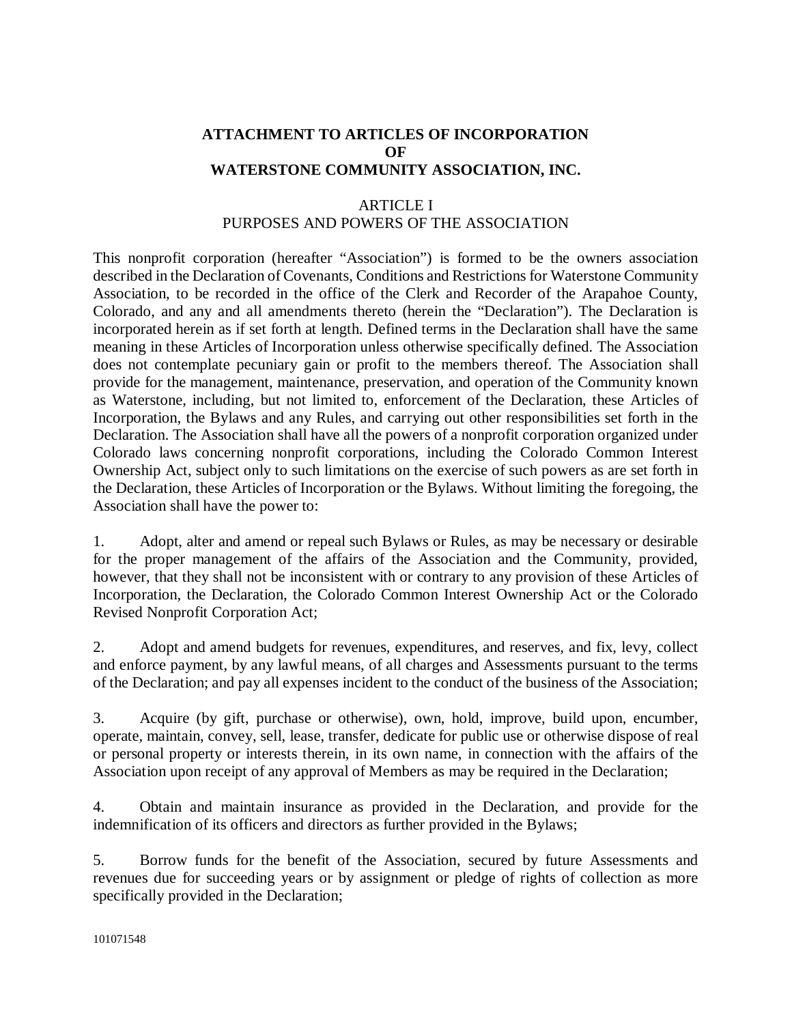# **ATTACHMENT TO ARTICLES OF INCORPORATION OF WATERSTONE COMMUNITY ASSOCIATION, INC.**

# ARTICLE I PURPOSES AND POWERS OF THE ASSOCIATION

This nonprofit corporation (hereafter "Association") is formed to be the owners association described in the Declaration of Covenants, Conditions and Restrictions for Waterstone Community Association, to be recorded in the office of the Clerk and Recorder of the Arapahoe County, Colorado, and any and all amendments thereto (herein the "Declaration"). The Declaration is incorporated herein as if set forth at length. Defined terms in the Declaration shall have the same meaning in these Articles of Incorporation unless otherwise specifically defined. The Association does not contemplate pecuniary gain or profit to the members thereof. The Association shall provide for the management, maintenance, preservation, and operation of the Community known as Waterstone, including, but not limited to, enforcement of the Declaration, these Articles of Incorporation, the Bylaws and any Rules, and carrying out other responsibilities set forth in the Declaration. The Association shall have all the powers of a nonprofit corporation organized under Colorado laws concerning nonprofit corporations, including the Colorado Common Interest Ownership Act, subject only to such limitations on the exercise of such powers as are set forth in the Declaration, these Articles of Incorporation or the Bylaws. Without limiting the foregoing, the Association shall have the power to:

1. Adopt, alter and amend or repeal such Bylaws or Rules, as may be necessary or desirable for the proper management of the affairs of the Association and the Community, provided, however, that they shall not be inconsistent with or contrary to any provision of these Articles of Incorporation, the Declaration, the Colorado Common Interest Ownership Act or the Colorado Revised Nonprofit Corporation Act;

2. Adopt and amend budgets for revenues, expenditures, and reserves, and fix, levy, collect and enforce payment, by any lawful means, of all charges and Assessments pursuant to the terms of the Declaration; and pay all expenses incident to the conduct of the business of the Association;

3. Acquire (by gift, purchase or otherwise), own, hold, improve, build upon, encumber, operate, maintain, convey, sell, lease, transfer, dedicate for public use or otherwise dispose of real or personal property or interests therein, in its own name, in connection with the affairs of the Association upon receipt of any approval of Members as may be required in the Declaration;

4. Obtain and maintain insurance as provided in the Declaration, and provide for the indemnification of its officers and directors as further provided in the Bylaws;

5. Borrow funds for the benefit of the Association, secured by future Assessments and revenues due for succeeding years or by assignment or pledge of rights of collection as more specifically provided in the Declaration;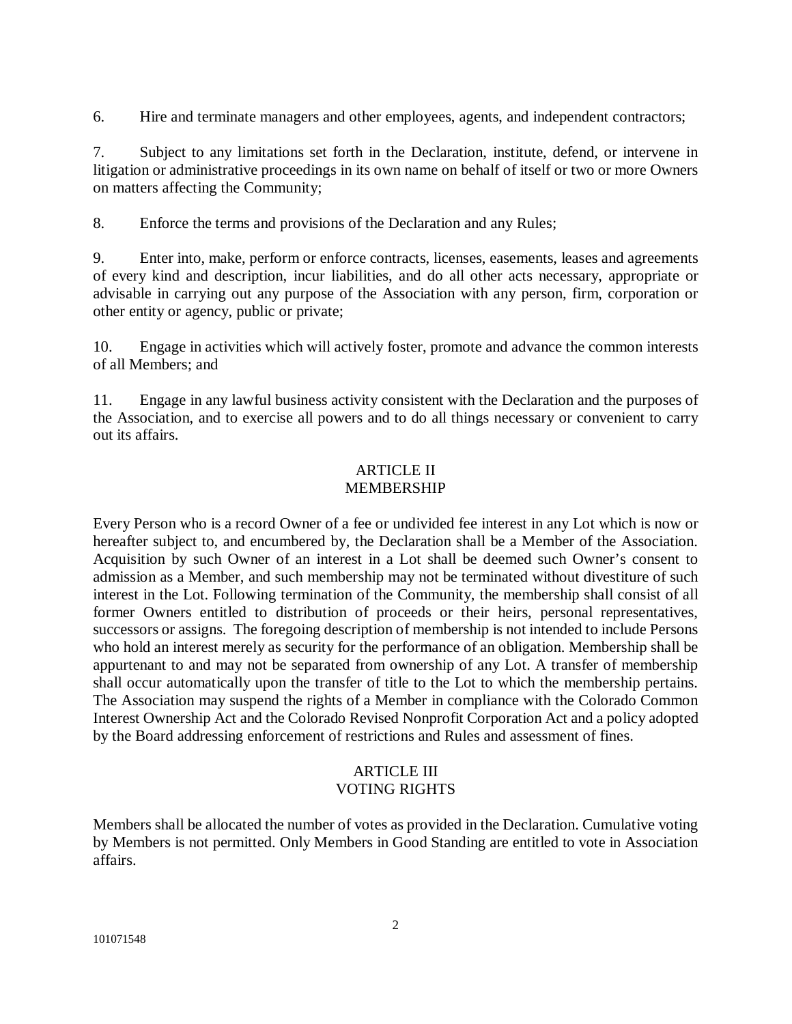6. Hire and terminate managers and other employees, agents, and independent contractors;

7. Subject to any limitations set forth in the Declaration, institute, defend, or intervene in litigation or administrative proceedings in its own name on behalf of itself or two or more Owners on matters affecting the Community;

8. Enforce the terms and provisions of the Declaration and any Rules;

9. Enter into, make, perform or enforce contracts, licenses, easements, leases and agreements of every kind and description, incur liabilities, and do all other acts necessary, appropriate or advisable in carrying out any purpose of the Association with any person, firm, corporation or other entity or agency, public or private;

10. Engage in activities which will actively foster, promote and advance the common interests of all Members; and

11. Engage in any lawful business activity consistent with the Declaration and the purposes of the Association, and to exercise all powers and to do all things necessary or convenient to carry out its affairs.

## ARTICLE II MEMBERSHIP

Every Person who is a record Owner of a fee or undivided fee interest in any Lot which is now or hereafter subject to, and encumbered by, the Declaration shall be a Member of the Association. Acquisition by such Owner of an interest in a Lot shall be deemed such Owner's consent to admission as a Member, and such membership may not be terminated without divestiture of such interest in the Lot. Following termination of the Community, the membership shall consist of all former Owners entitled to distribution of proceeds or their heirs, personal representatives, successors or assigns. The foregoing description of membership is not intended to include Persons who hold an interest merely as security for the performance of an obligation. Membership shall be appurtenant to and may not be separated from ownership of any Lot. A transfer of membership shall occur automatically upon the transfer of title to the Lot to which the membership pertains. The Association may suspend the rights of a Member in compliance with the Colorado Common Interest Ownership Act and the Colorado Revised Nonprofit Corporation Act and a policy adopted by the Board addressing enforcement of restrictions and Rules and assessment of fines.

## ARTICLE III VOTING RIGHTS

Members shall be allocated the number of votes as provided in the Declaration. Cumulative voting by Members is not permitted. Only Members in Good Standing are entitled to vote in Association affairs.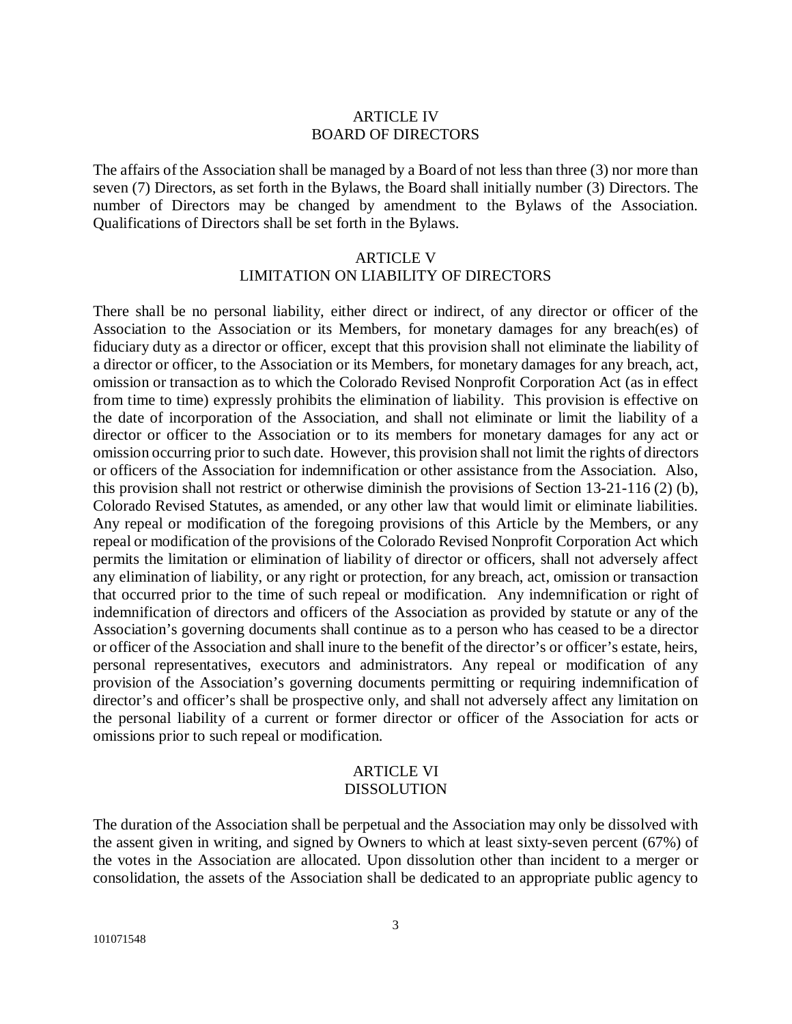## ARTICLE IV BOARD OF DIRECTORS

The affairs of the Association shall be managed by a Board of not less than three (3) nor more than seven (7) Directors, as set forth in the Bylaws, the Board shall initially number (3) Directors. The number of Directors may be changed by amendment to the Bylaws of the Association. Qualifications of Directors shall be set forth in the Bylaws.

## ARTICLE V LIMITATION ON LIABILITY OF DIRECTORS

There shall be no personal liability, either direct or indirect, of any director or officer of the Association to the Association or its Members, for monetary damages for any breach(es) of fiduciary duty as a director or officer, except that this provision shall not eliminate the liability of a director or officer, to the Association or its Members, for monetary damages for any breach, act, omission or transaction as to which the Colorado Revised Nonprofit Corporation Act (as in effect from time to time) expressly prohibits the elimination of liability. This provision is effective on the date of incorporation of the Association, and shall not eliminate or limit the liability of a director or officer to the Association or to its members for monetary damages for any act or omission occurring prior to such date. However, this provision shall not limit the rights of directors or officers of the Association for indemnification or other assistance from the Association. Also, this provision shall not restrict or otherwise diminish the provisions of Section 13-21-116 (2) (b), Colorado Revised Statutes, as amended, or any other law that would limit or eliminate liabilities. Any repeal or modification of the foregoing provisions of this Article by the Members, or any repeal or modification of the provisions of the Colorado Revised Nonprofit Corporation Act which permits the limitation or elimination of liability of director or officers, shall not adversely affect any elimination of liability, or any right or protection, for any breach, act, omission or transaction that occurred prior to the time of such repeal or modification. Any indemnification or right of indemnification of directors and officers of the Association as provided by statute or any of the Association's governing documents shall continue as to a person who has ceased to be a director or officer of the Association and shall inure to the benefit of the director's or officer's estate, heirs, personal representatives, executors and administrators. Any repeal or modification of any provision of the Association's governing documents permitting or requiring indemnification of director's and officer's shall be prospective only, and shall not adversely affect any limitation on the personal liability of a current or former director or officer of the Association for acts or omissions prior to such repeal or modification.

#### ARTICLE VI DISSOLUTION

The duration of the Association shall be perpetual and the Association may only be dissolved with the assent given in writing, and signed by Owners to which at least sixty-seven percent (67%) of the votes in the Association are allocated. Upon dissolution other than incident to a merger or consolidation, the assets of the Association shall be dedicated to an appropriate public agency to